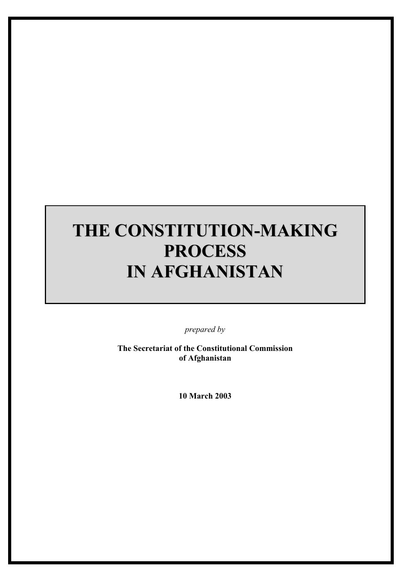# **THE CONSTITUTION-MAKING PROCESS IN AFGHANISTAN**

*prepared by* 

**The Secretariat of the Constitutional Commission of Afghanistan** 

**10 March 2003**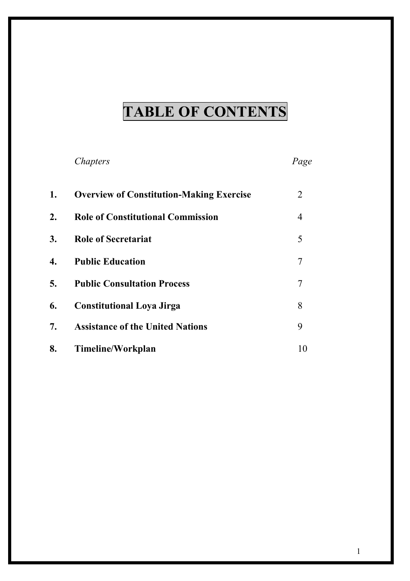# **TABLE OF CONTENTS**

# *Chapters Page*

| 1. | <b>Overview of Constitution-Making Exercise</b> | 2                        |
|----|-------------------------------------------------|--------------------------|
| 2. | <b>Role of Constitutional Commission</b>        | 4                        |
| 3. | <b>Role of Secretariat</b>                      | 5                        |
| 4. | <b>Public Education</b>                         | 7                        |
| 5. | <b>Public Consultation Process</b>              | 7                        |
| 6. | <b>Constitutional Loya Jirga</b>                | 8                        |
| 7. | <b>Assistance of the United Nations</b>         | 9                        |
| 8. | Timeline/Workplan                               | $\mathbf{I}(\mathbf{0})$ |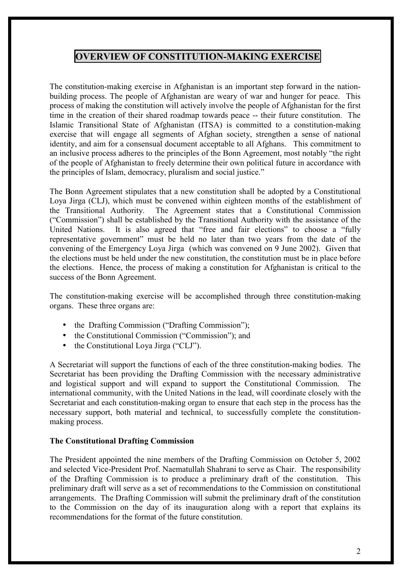# **OVERVIEW OF CONSTITUTION-MAKING EXERCISE**

The constitution-making exercise in Afghanistan is an important step forward in the nationbuilding process. The people of Afghanistan are weary of war and hunger for peace. This process of making the constitution will actively involve the people of Afghanistan for the first time in the creation of their shared roadmap towards peace -- their future constitution. The Islamic Transitional State of Afghanistan (ITSA) is committed to a constitution-making exercise that will engage all segments of Afghan society, strengthen a sense of national identity, and aim for a consensual document acceptable to all Afghans. This commitment to an inclusive process adheres to the principles of the Bonn Agreement, most notably "the right of the people of Afghanistan to freely determine their own political future in accordance with the principles of Islam, democracy, pluralism and social justice."

The Bonn Agreement stipulates that a new constitution shall be adopted by a Constitutional Loya Jirga (CLJ), which must be convened within eighteen months of the establishment of the Transitional Authority. The Agreement states that a Constitutional Commission ("Commission") shall be established by the Transitional Authority with the assistance of the United Nations. It is also agreed that "free and fair elections" to choose a "fully representative government" must be held no later than two years from the date of the convening of the Emergency Loya Jirga (which was convened on 9 June 2002). Given that the elections must be held under the new constitution, the constitution must be in place before the elections. Hence, the process of making a constitution for Afghanistan is critical to the success of the Bonn Agreement.

The constitution-making exercise will be accomplished through three constitution-making organs. These three organs are:

- the Drafting Commission ("Drafting Commission");
- the Constitutional Commission ("Commission"); and
- the Constitutional Loya Jirga ("CLJ").

A Secretariat will support the functions of each of the three constitution-making bodies. The Secretariat has been providing the Drafting Commission with the necessary administrative and logistical support and will expand to support the Constitutional Commission. The international community, with the United Nations in the lead, will coordinate closely with the Secretariat and each constitution-making organ to ensure that each step in the process has the necessary support, both material and technical, to successfully complete the constitutionmaking process.

#### **The Constitutional Drafting Commission**

The President appointed the nine members of the Drafting Commission on October 5, 2002 and selected Vice-President Prof. Naematullah Shahrani to serve as Chair. The responsibility of the Drafting Commission is to produce a preliminary draft of the constitution. This preliminary draft will serve as a set of recommendations to the Commission on constitutional arrangements. The Drafting Commission will submit the preliminary draft of the constitution to the Commission on the day of its inauguration along with a report that explains its recommendations for the format of the future constitution.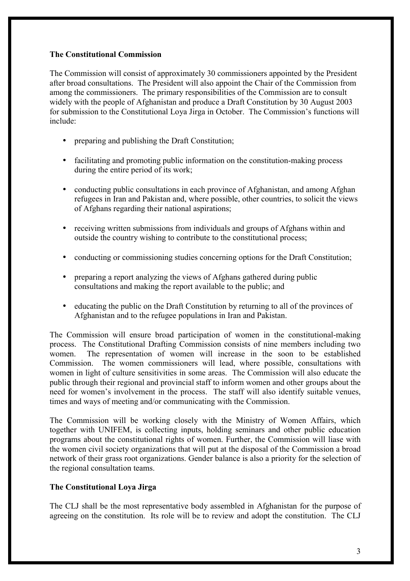#### **The Constitutional Commission**

The Commission will consist of approximately 30 commissioners appointed by the President after broad consultations. The President will also appoint the Chair of the Commission from among the commissioners. The primary responsibilities of the Commission are to consult widely with the people of Afghanistan and produce a Draft Constitution by 30 August 2003 for submission to the Constitutional Loya Jirga in October. The Commission's functions will include:

- preparing and publishing the Draft Constitution:
- facilitating and promoting public information on the constitution-making process during the entire period of its work;
- conducting public consultations in each province of Afghanistan, and among Afghan refugees in Iran and Pakistan and, where possible, other countries, to solicit the views of Afghans regarding their national aspirations;
- receiving written submissions from individuals and groups of Afghans within and outside the country wishing to contribute to the constitutional process;
- conducting or commissioning studies concerning options for the Draft Constitution;
- preparing a report analyzing the views of Afghans gathered during public consultations and making the report available to the public; and
- educating the public on the Draft Constitution by returning to all of the provinces of Afghanistan and to the refugee populations in Iran and Pakistan.

The Commission will ensure broad participation of women in the constitutional-making process. The Constitutional Drafting Commission consists of nine members including two women. The representation of women will increase in the soon to be established Commission. The women commissioners will lead, where possible, consultations with women in light of culture sensitivities in some areas. The Commission will also educate the public through their regional and provincial staff to inform women and other groups about the need for women's involvement in the process. The staff will also identify suitable venues, times and ways of meeting and/or communicating with the Commission.

The Commission will be working closely with the Ministry of Women Affairs, which together with UNIFEM, is collecting inputs, holding seminars and other public education programs about the constitutional rights of women. Further, the Commission will liase with the women civil society organizations that will put at the disposal of the Commission a broad network of their grass root organizations. Gender balance is also a priority for the selection of the regional consultation teams.

### **The Constitutional Loya Jirga**

The CLJ shall be the most representative body assembled in Afghanistan for the purpose of agreeing on the constitution. Its role will be to review and adopt the constitution. The CLJ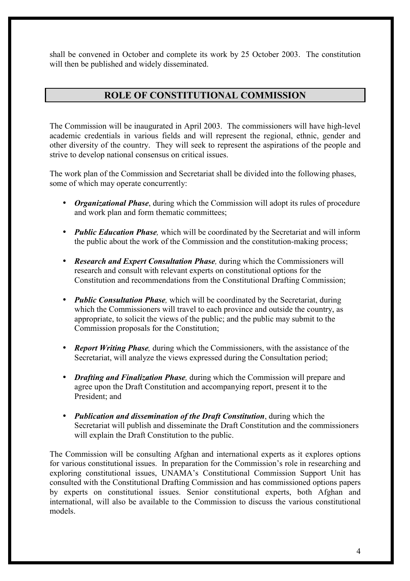shall be convened in October and complete its work by 25 October 2003. The constitution will then be published and widely disseminated.

# **ROLE OF CONSTITUTIONAL COMMISSION**

The Commission will be inaugurated in April 2003. The commissioners will have high-level academic credentials in various fields and will represent the regional, ethnic, gender and other diversity of the country. They will seek to represent the aspirations of the people and strive to develop national consensus on critical issues.

The work plan of the Commission and Secretariat shall be divided into the following phases, some of which may operate concurrently:

- *Organizational Phase*, during which the Commission will adopt its rules of procedure and work plan and form thematic committees;
- *Public Education Phase*, which will be coordinated by the Secretariat and will inform the public about the work of the Commission and the constitution-making process;
- *Research and Expert Consultation Phase*, during which the Commissioners will research and consult with relevant experts on constitutional options for the Constitution and recommendations from the Constitutional Drafting Commission;
- *Public Consultation Phase,* which will be coordinated by the Secretariat, during which the Commissioners will travel to each province and outside the country, as appropriate, to solicit the views of the public; and the public may submit to the Commission proposals for the Constitution;
- *Report Writing Phase*, during which the Commissioners, with the assistance of the Secretariat, will analyze the views expressed during the Consultation period;
- *Drafting and Finalization Phase,* during which the Commission will prepare and agree upon the Draft Constitution and accompanying report, present it to the President; and
- *Publication and dissemination of the Draft Constitution*, during which the Secretariat will publish and disseminate the Draft Constitution and the commissioners will explain the Draft Constitution to the public.

The Commission will be consulting Afghan and international experts as it explores options for various constitutional issues. In preparation for the Commission's role in researching and exploring constitutional issues, UNAMA's Constitutional Commission Support Unit has consulted with the Constitutional Drafting Commission and has commissioned options papers by experts on constitutional issues. Senior constitutional experts, both Afghan and international, will also be available to the Commission to discuss the various constitutional models.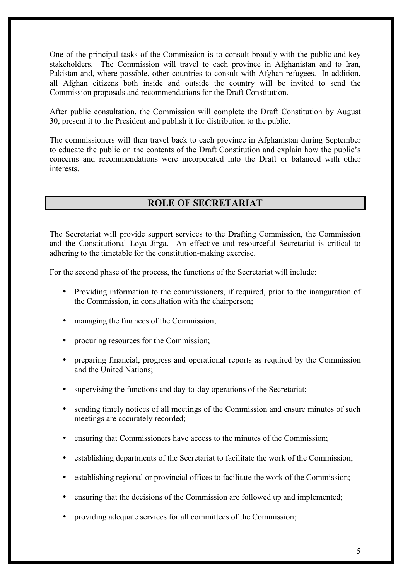One of the principal tasks of the Commission is to consult broadly with the public and key stakeholders. The Commission will travel to each province in Afghanistan and to Iran, Pakistan and, where possible, other countries to consult with Afghan refugees. In addition, all Afghan citizens both inside and outside the country will be invited to send the Commission proposals and recommendations for the Draft Constitution.

After public consultation, the Commission will complete the Draft Constitution by August 30, present it to the President and publish it for distribution to the public.

The commissioners will then travel back to each province in Afghanistan during September to educate the public on the contents of the Draft Constitution and explain how the public's concerns and recommendations were incorporated into the Draft or balanced with other interests.

# **ROLE OF SECRETARIAT**

The Secretariat will provide support services to the Drafting Commission, the Commission and the Constitutional Loya Jirga. An effective and resourceful Secretariat is critical to adhering to the timetable for the constitution-making exercise.

For the second phase of the process, the functions of the Secretariat will include:

- Providing information to the commissioners, if required, prior to the inauguration of the Commission, in consultation with the chairperson;
- managing the finances of the Commission;
- procuring resources for the Commission;
- preparing financial, progress and operational reports as required by the Commission and the United Nations;
- supervising the functions and day-to-day operations of the Secretariat;
- sending timely notices of all meetings of the Commission and ensure minutes of such meetings are accurately recorded;
- ensuring that Commissioners have access to the minutes of the Commission;
- establishing departments of the Secretariat to facilitate the work of the Commission;
- establishing regional or provincial offices to facilitate the work of the Commission;
- ensuring that the decisions of the Commission are followed up and implemented;
- providing adequate services for all committees of the Commission;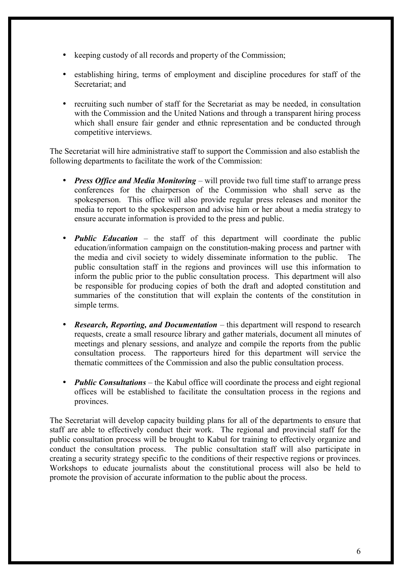- keeping custody of all records and property of the Commission;
- establishing hiring, terms of employment and discipline procedures for staff of the Secretariat; and
- recruiting such number of staff for the Secretariat as may be needed, in consultation with the Commission and the United Nations and through a transparent hiring process which shall ensure fair gender and ethnic representation and be conducted through competitive interviews.

The Secretariat will hire administrative staff to support the Commission and also establish the following departments to facilitate the work of the Commission:

- *Press Office and Media Monitoring* will provide two full time staff to arrange press conferences for the chairperson of the Commission who shall serve as the spokesperson. This office will also provide regular press releases and monitor the media to report to the spokesperson and advise him or her about a media strategy to ensure accurate information is provided to the press and public.
- *Public Education* the staff of this department will coordinate the public education/information campaign on the constitution-making process and partner with the media and civil society to widely disseminate information to the public. The public consultation staff in the regions and provinces will use this information to inform the public prior to the public consultation process. This department will also be responsible for producing copies of both the draft and adopted constitution and summaries of the constitution that will explain the contents of the constitution in simple terms.
- *Research, Reporting, and Documentation* this department will respond to research requests, create a small resource library and gather materials, document all minutes of meetings and plenary sessions, and analyze and compile the reports from the public consultation process. The rapporteurs hired for this department will service the thematic committees of the Commission and also the public consultation process.
- *Public Consultations* the Kabul office will coordinate the process and eight regional offices will be established to facilitate the consultation process in the regions and provinces.

The Secretariat will develop capacity building plans for all of the departments to ensure that staff are able to effectively conduct their work. The regional and provincial staff for the public consultation process will be brought to Kabul for training to effectively organize and conduct the consultation process. The public consultation staff will also participate in creating a security strategy specific to the conditions of their respective regions or provinces. Workshops to educate journalists about the constitutional process will also be held to promote the provision of accurate information to the public about the process.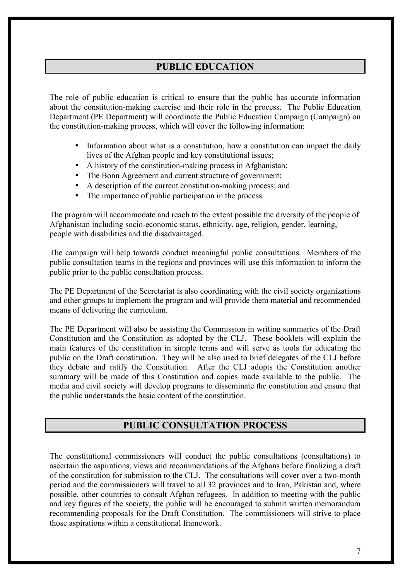# **PUBLIC EDUCATION**

The role of public education is critical to ensure that the public has accurate information about the constitution-making exercise and their role in the process. The Public Education Department (PE Department) will coordinate the Public Education Campaign (Campaign) on the constitution-making process, which will cover the following information:

- Information about what is a constitution, how a constitution can impact the daily lives of the Afghan people and key constitutional issues;
- A history of the constitution-making process in Afghanistan;
- The Bonn Agreement and current structure of government;
- A description of the current constitution-making process; and
- The importance of public participation in the process.

The program will accommodate and reach to the extent possible the diversity of the people of Afghanistan including socio-economic status, ethnicity, age, religion, gender, learning, people with disabilities and the disadvantaged.

The campaign will help towards conduct meaningful public consultations. Members of the public consultation teams in the regions and provinces will use this information to inform the public prior to the public consultation process.

The PE Department of the Secretariat is also coordinating with the civil society organizations and other groups to implement the program and will provide them material and recommended means of delivering the curriculum.

The PE Department will also be assisting the Commission in writing summaries of the Draft Constitution and the Constitution as adopted by the CLJ. These booklets will explain the main features of the constitution in simple terms and will serve as tools for educating the public on the Draft constitution. They will be also used to brief delegates of the CLJ before they debate and ratify the Constitution. After the CLJ adopts the Constitution another summary will be made of this Constitution and copies made available to the public. The media and civil society will develop programs to disseminate the constitution and ensure that the public understands the basic content of the constitution.

# **PUBLIC CONSULTATION PROCESS**

The constitutional commissioners will conduct the public consultations (consultations) to ascertain the aspirations, views and recommendations of the Afghans before finalizing a draft of the constitution for submission to the CLJ. The consultations will cover over a two-month period and the commissioners will travel to all 32 provinces and to Iran, Pakistan and, where possible, other countries to consult Afghan refugees. In addition to meeting with the public and key figures of the society, the public will be encouraged to submit written memorandum recommending proposals for the Draft Constitution. The commissioners will strive to place those aspirations within a constitutional framework.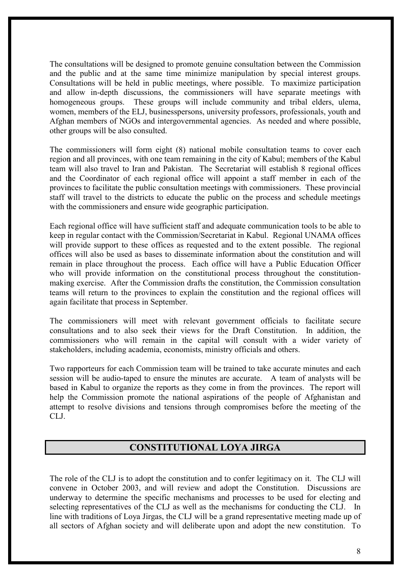The consultations will be designed to promote genuine consultation between the Commission and the public and at the same time minimize manipulation by special interest groups. Consultations will be held in public meetings, where possible. To maximize participation and allow in-depth discussions, the commissioners will have separate meetings with homogeneous groups. These groups will include community and tribal elders, ulema, women, members of the ELJ, businesspersons, university professors, professionals, youth and Afghan members of NGOs and intergovernmental agencies. As needed and where possible, other groups will be also consulted.

The commissioners will form eight (8) national mobile consultation teams to cover each region and all provinces, with one team remaining in the city of Kabul; members of the Kabul team will also travel to Iran and Pakistan. The Secretariat will establish 8 regional offices and the Coordinator of each regional office will appoint a staff member in each of the provinces to facilitate the public consultation meetings with commissioners. These provincial staff will travel to the districts to educate the public on the process and schedule meetings with the commissioners and ensure wide geographic participation.

Each regional office will have sufficient staff and adequate communication tools to be able to keep in regular contact with the Commission/Secretariat in Kabul. Regional UNAMA offices will provide support to these offices as requested and to the extent possible. The regional offices will also be used as bases to disseminate information about the constitution and will remain in place throughout the process. Each office will have a Public Education Officer who will provide information on the constitutional process throughout the constitutionmaking exercise. After the Commission drafts the constitution, the Commission consultation teams will return to the provinces to explain the constitution and the regional offices will again facilitate that process in September.

The commissioners will meet with relevant government officials to facilitate secure consultations and to also seek their views for the Draft Constitution. In addition, the commissioners who will remain in the capital will consult with a wider variety of stakeholders, including academia, economists, ministry officials and others.

Two rapporteurs for each Commission team will be trained to take accurate minutes and each session will be audio-taped to ensure the minutes are accurate. A team of analysts will be based in Kabul to organize the reports as they come in from the provinces. The report will help the Commission promote the national aspirations of the people of Afghanistan and attempt to resolve divisions and tensions through compromises before the meeting of the CLJ.

# **CONSTITUTIONAL LOYA JIRGA**

The role of the CLJ is to adopt the constitution and to confer legitimacy on it. The CLJ will convene in October 2003, and will review and adopt the Constitution. Discussions are underway to determine the specific mechanisms and processes to be used for electing and selecting representatives of the CLJ as well as the mechanisms for conducting the CLJ. In line with traditions of Loya Jirgas, the CLJ will be a grand representative meeting made up of all sectors of Afghan society and will deliberate upon and adopt the new constitution. To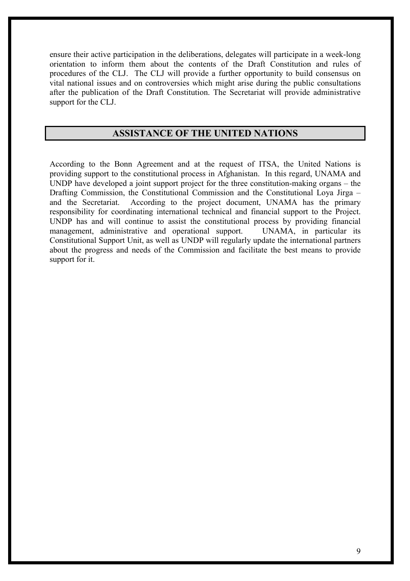ensure their active participation in the deliberations, delegates will participate in a week-long orientation to inform them about the contents of the Draft Constitution and rules of procedures of the CLJ. The CLJ will provide a further opportunity to build consensus on vital national issues and on controversies which might arise during the public consultations after the publication of the Draft Constitution. The Secretariat will provide administrative support for the CLJ.

### **ASSISTANCE OF THE UNITED NATIONS**

According to the Bonn Agreement and at the request of ITSA, the United Nations is providing support to the constitutional process in Afghanistan. In this regard, UNAMA and UNDP have developed a joint support project for the three constitution-making organs – the Drafting Commission, the Constitutional Commission and the Constitutional Loya Jirga – and the Secretariat. According to the project document, UNAMA has the primary responsibility for coordinating international technical and financial support to the Project. UNDP has and will continue to assist the constitutional process by providing financial management, administrative and operational support. UNAMA, in particular its Constitutional Support Unit, as well as UNDP will regularly update the international partners about the progress and needs of the Commission and facilitate the best means to provide support for it.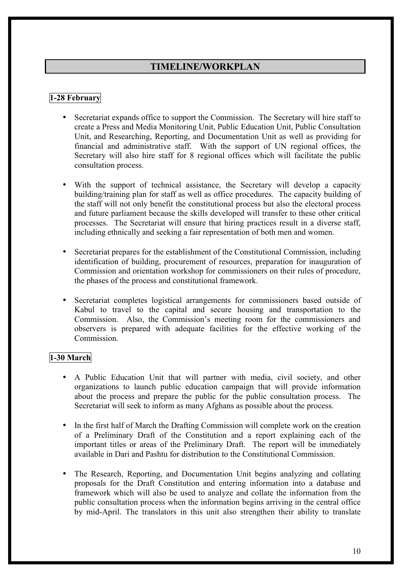# **TIMELINE/WORKPLAN**

### **1-28 February**

- Secretariat expands office to support the Commission. The Secretary will hire staff to create a Press and Media Monitoring Unit, Public Education Unit, Public Consultation Unit, and Researching, Reporting, and Documentation Unit as well as providing for financial and administrative staff. With the support of UN regional offices, the Secretary will also hire staff for 8 regional offices which will facilitate the public consultation process.
- With the support of technical assistance, the Secretary will develop a capacity building/training plan for staff as well as office procedures. The capacity building of the staff will not only benefit the constitutional process but also the electoral process and future parliament because the skills developed will transfer to these other critical processes. The Secretariat will ensure that hiring practices result in a diverse staff, including ethnically and seeking a fair representation of both men and women.
- Secretariat prepares for the establishment of the Constitutional Commission, including identification of building, procurement of resources, preparation for inauguration of Commission and orientation workshop for commissioners on their rules of procedure, the phases of the process and constitutional framework.
- Secretariat completes logistical arrangements for commissioners based outside of Kabul to travel to the capital and secure housing and transportation to the Commission. Also, the Commission's meeting room for the commissioners and observers is prepared with adequate facilities for the effective working of the Commission.

#### **1-30 March**

- A Public Education Unit that will partner with media, civil society, and other organizations to launch public education campaign that will provide information about the process and prepare the public for the public consultation process. The Secretariat will seek to inform as many Afghans as possible about the process.
- In the first half of March the Drafting Commission will complete work on the creation of a Preliminary Draft of the Constitution and a report explaining each of the important titles or areas of the Preliminary Draft. The report will be immediately available in Dari and Pashtu for distribution to the Constitutional Commission.
- The Research, Reporting, and Documentation Unit begins analyzing and collating proposals for the Draft Constitution and entering information into a database and framework which will also be used to analyze and collate the information from the public consultation process when the information begins arriving in the central office by mid-April. The translators in this unit also strengthen their ability to translate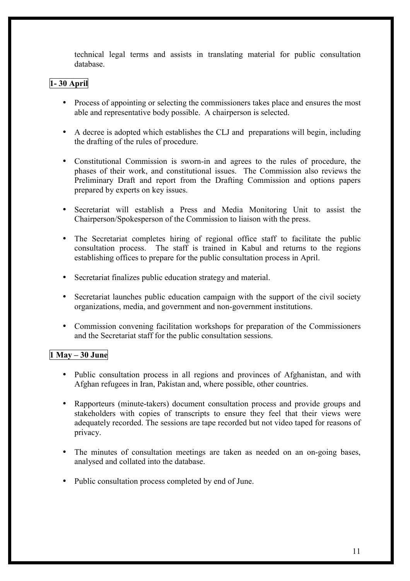technical legal terms and assists in translating material for public consultation database.

# **1- 30 April**

- Process of appointing or selecting the commissioners takes place and ensures the most able and representative body possible. A chairperson is selected.
- A decree is adopted which establishes the CLJ and preparations will begin, including the drafting of the rules of procedure.
- Constitutional Commission is sworn-in and agrees to the rules of procedure, the phases of their work, and constitutional issues. The Commission also reviews the Preliminary Draft and report from the Drafting Commission and options papers prepared by experts on key issues.
- Secretariat will establish a Press and Media Monitoring Unit to assist the Chairperson/Spokesperson of the Commission to liaison with the press.
- The Secretariat completes hiring of regional office staff to facilitate the public consultation process. The staff is trained in Kabul and returns to the regions establishing offices to prepare for the public consultation process in April.
- Secretariat finalizes public education strategy and material.
- Secretariat launches public education campaign with the support of the civil society organizations, media, and government and non-government institutions.
- Commission convening facilitation workshops for preparation of the Commissioners and the Secretariat staff for the public consultation sessions.

### **1 May – 30 June**

- Public consultation process in all regions and provinces of Afghanistan, and with Afghan refugees in Iran, Pakistan and, where possible, other countries.
- Rapporteurs (minute-takers) document consultation process and provide groups and stakeholders with copies of transcripts to ensure they feel that their views were adequately recorded. The sessions are tape recorded but not video taped for reasons of privacy.
- The minutes of consultation meetings are taken as needed on an on-going bases, analysed and collated into the database.
- Public consultation process completed by end of June.